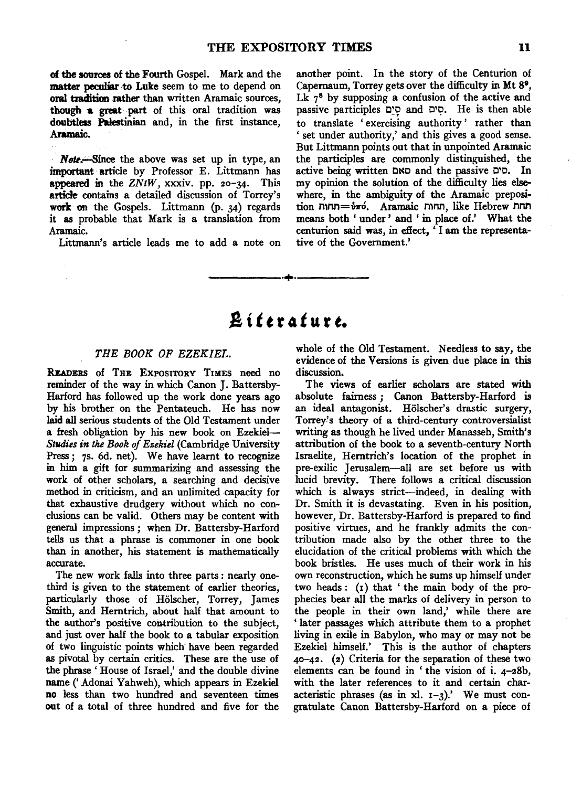of the sources of the Fourth Gospel. Mark and the matter peculiar to Luke seem to me to depend on oral tradition rather than written Aramaic sources, though a great part of this oral tradition was doubtless Palestinian and, in the first instance, Aramaic.

Note.-Since the above was set up in type, an important article by Professor E. Littmann has appeared in the *ZNtW,* xxxiv. pp. 20-34. This article contains a detailed discussion of Torrey's work on the Gospels. Littmann (p. 34) regards it as probable that Mark is a translation from Aramaic.

Littmann's article leads me to add a note on

another point. In the story of the Centurion of Capernaum, Torrey gets over the difficulty in Mt 81, Lk  $7<sup>8</sup>$  by supposing a confusion of the active and passive participles o~9 and c<sup>o</sup> and C't?· He is then able to translate 'exercising authority' rather than ' set under authority,' and this gives a good sense. But Littmann points out that in unpointed Aramaic the participles are commonly distinguished, the active being written DND and the passive o•D. In my opinion the solution of the difficulty lies elsewhere, in the ambiguity of the Aramaic preposition תחות fike Hebrew חחות, like Hebrew means both ' under ' and ' in place of.' What the centurion said was, in effect, ' I am the representative of the Government.'

# $B$ *iftrature.*

-----·+·-----

### *THE BOOK OF EZEKIEL.*

READERS of THE EXPOSITORY TIMES need no reminder of the way in which Canon J. Battersby-Harford has followed up the work done years ago by his brother on the Pentateuch. He has now laid all serious students of the Old Testament under a fresh obligation by his new book on Ezekiel-*Studies in* tke *Book of Ezekiel* (Cambridge University Press; 7s. 6d. net). We have learnt to recognize in him a gift for summarizing and assessing the work of other scholars, a searching and decisive method in criticism, and an unlimited capacity for that exhaustive drudgery without which no conclusions can be valid. Others may be content with general impressions; when Dr. Battersby-Harford tells us that a phrase is commoner in one book than in another, his statement is mathematically accurate.

The new work falls into three parts : nearly onethird is given to the statement of earlier theories, particularly those of Holscher, Torrey, James Smith, and Herntrich, about half that amount to the author's positive contribution to the subject, and just over half the book to a tabular exposition of two linguistic points which have been regarded as pivotal by certain critics. These are the use of the phrase' House of Israel,' and the double divine name(' Adonai Yahweh), which appears in Ezekiel no less than two hundred and seventeen times out of a total of three hundred and five for the whole of the Old Testament. Needless to say, the evidence of the Versions is given due place in this discussion.

The views of earlier scholars are stated with absolute fairness; Canon Battersby-Harford is an ideal antagonist. Hölscher's drastic surgery, Torrey's theory of a third-century controversialist writing as though he lived under Manasseh, Smith's attribution of the book to a seventh-century North Israelite, Herntrich's location of the prophet in pre-exilic Jerusalem-all are set before us with lucid brevity. There follows a critical discussion which is always strict-indeed, in dealing with Dr. Smith it is devastating. Even in his position, however, Dr. Battersby-Harford is prepared to find positive virtues, and he frankly admits the contribution made also by the other three to the elucidation of the critical problems with which the book bristles. He uses much of their work in his own reconstruction, which he sums up himself under two heads:  $(r)$  that 'the main body of the prophecies bear all the marks of delivery in person to the people in their own land,' while there are 'later passages which attribute them to a prophet living in exile in Babylon, who may or may not be Ezekiel himself.' This is the author of chapters 4o-42. (2) Criteria for the separation of these two elements can be found in 'the vision of i. 4-28b, with the later references to it and certain characteristic phrases (as in xl.  $I-3$ ).' We must congratulate Canon Battersby-Harford on a piece of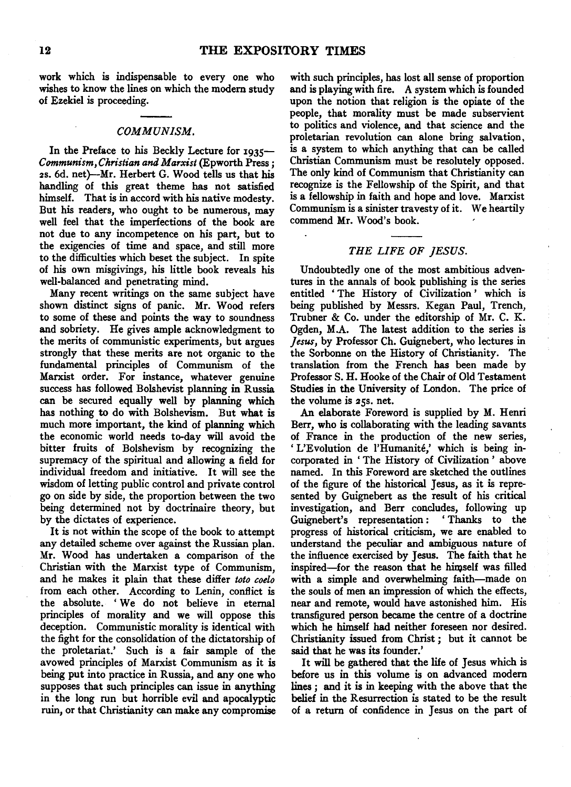work which is indispensable to every one who wishes to know the lines on which the modem study of Ezekiel is proceeding.

## *COMMUNISM.*

In the Preface to his Beckly Lecture for 1935-*Communism, Christian and Marxist* (Epworth Press; 2s. 6d. net)-Mr. Herbert G. Wood tells us that his handling of this great theme has not satisfied himself. That is in accord with his native modesty. But his readers, who ought to be numerous, may well feel that the imperfections of the book are not due to any incompetence on his part, but to the exigencies of time and space, and still more to the difficulties which beset the subject. In spite of his own misgivings, his little book reveals his well-balanced and penetrating mind.

Many recent writings on the same subject have shown distinct signs of panic. Mr. Wood refers to some of these and points the way to soundness and sobriety. He gives ample acknowledgment to the merits of communistic experiments, but argues strongly that these merits are not organic to the fundamental principles of Communism of the Marxist order. For instance, whatever genuine success has followed Bolshevist planning in Russia can be secured equally well by planning which has nothing to do with Bolshevism. But what is much more important, the kind of planning which the economic world needs to-day will avoid the bitter fruits of Bolshevism by recognizing the supremacy of the spiritual and allowing a field for individual freedom and initiative. It will see the wisdom of letting public control and private control go on side by side, the proportion between the two being determined not by doctrinaire theory, but by the dictates of experience.

It is not within the scope of the book to attempt any detailed scheme over against the Russian plan. Mr. Wood has undertaken a comparison of the Christian with the Marxist type of Communism, and he makes it plain that these differ *toto coelo*  from each other. According to Lenin, conflict is the absolute. ' We do not believe in eternal principles of morality and we will oppose this deception. Communistic morality is identical with the fight for the consolidation of the dictatorship of the proletariat.' Such is a fair sample of the avowed principles of Marxist Communism as it is being put into practice in Russia, and any one who supposes that such principles can issue in anything in the long run but horrible evil and apocalyptic ruin, or that Christianity can make any compromise

with such principles, has lost all sense of proportion and is playing with fire. A system which is founded upon the notion that religion is the opiate of the people, that morality must be made subservient to politics and violence, and that science and the proletarian revolution can alone bring salvation, is a system to which anything that can be called Christian Communism must be resolutely opposed. The only kind of Communism that Christianity can recognize is the Fellowship of the Spirit, and that is a fellowship in faith and hope and love. Marxist Communism is a sinister travesty of it. We heartily commend Mr. Wood's book.

# *THE LIFE OF JESUS.*

Undoubtedly one of the most ambitious adventures in the annals of book publishing is the series entitled ' The History of Civilization ' which is being published by Messrs. Kegan Paul, Trench, Trubner & Co. under the editorship of Mr. C. K. Ogden, M.A. The latest addition to the series is *Jesus,* by Professor Ch. Guignebert, who lectures in the Sorbonne on the History of Christianity. The translation from the French has been made by Professor S. H. Hooke of the Chair of Old Testament Studies in the University of London. The price of the volume is 25s. net.

An elaborate Foreword is supplied by M. Henri Berr, who is collaborating with the leading savants of France in the production of the new series, ' L'Evolution de l'Humanite,' which is being incorporated in ' The History of Civilization ' above named. In this Foreword are sketched the outlines of the figure of the historical Jesus, as it is represented by Guignebert as the result of his critical investigation, and Berr concludes, following up Guignebert's representation: 'Thanks to the progress of historical criticism, we are enabled to understand the peculiar and ambiguous nature of the influence exercised by Jesus. The faith that he inspired-for the reason that he himself was filled with a simple and overwhelming faith-made on the souls of men an impression of which the effects, near and remote, would have astonished him. His transfigured person became the centre of a doctrine which he himself had neither foreseen nor desired. Christianity issued from Christ *;* but it cannot be said that he was its founder.'

It will be gathered that the life of Jesus which is before us in this volume is on advanced modem lines *;* and it is in keeping with the above that the belief in the Resurrection is stated to be the result of a return of confidence in Jesus on the part of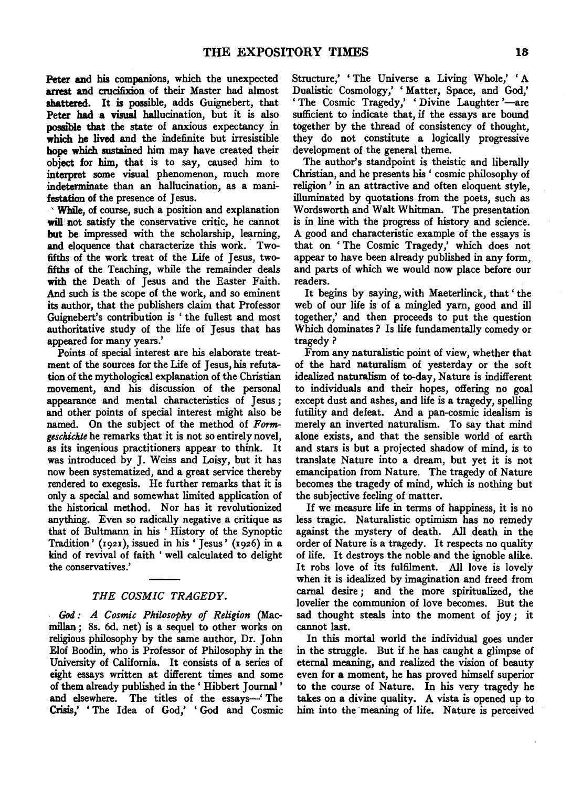Peter and his companions, which the unexpected arrest and crucifixion of their Master had almost shattered. It is possible, adds Guignebert, that Peter had a visual hallucination, but it is also possible that . the state of anxious expectancy in which he lived and the indefinite but irresistible hope which sustained him may have created their object for him, that is to say, caused him to interpret some visual phenomenon, much more indeterminate than an hallucination, as a manifestation of the presence of Jesus.

' While, of course, such a position and explanation will not satisfy the conservative critic, he cannot but be impressed with the scholarship, learning, and eloquence that characterize this work. Twofifths of the work treat of the Life of Jesus, twofifths of the Teaching, while the remainder deals with the Death of Jesus and the Easter Faith. And such is the scope of the work, and so eminent its author, that the publishers claim that Professor Guignebert's contribution is 'the fullest and most authoritative study of the life of Jesus that has appeared for many years.'

Points of special interest are his elaborate treatment of the sources for the Life of Jesus, his refutation of the mythological explanation of the Christian movement, and his discussion of the personal appearance and mental characteristics of Jesus ; and other points of special interest might also be named. On the subject of the method of *Formgeschickte* he remarks that it is not so entirely novel, as its ingenious practitioners appear to think. It was introduced by J. Weiss and Loisy, but it has now been systematized, and a great service thereby rendered to exegesis. He further remarks that it is only a special and somewhat limited application of the historical method. Nor has it revolutionized anything. Even so radically negative a critique as that of Bultmann in his ' History of the Synoptic Tradition' (192I), issued in his 'Jesus' (1926) in a kind of revival of faith ' well calculated to delight the conservatives.'

## *THE COSMIC TRAGEDY.*

*God: A Cosmic Philosophy of Religion* (Macmillan; 8s. 6d. net) is a sequel to other works on religious philosophy by the same author, Dr. John Elof Boodin, who is Professor of Philosophy in the University of California. It consists of a series of eight essays written at different times and some of them already published in the ' Hibbert Journal ' and elsewhere. The titles of the essays-" The Crisis,' 'The Idea of God,' 'God and Cosmic

Structure,' 'The Universe a Living Whole,' 'A Dualistic Cosmology,' 'Matter, Space, and God,' 'The Cosmic Tragedy,' 'Divine Laughter'—are sufficient to indicate that, if the essays are bound together by the thread of consistency of thought, they do not constitute a logically progressive development of the general theme.

The author's standpoint is theistic and liberally Christian, and he presents his ' cosmic philosophy of religion ' in an attractive and often eloquent style, illuminated by quotations from the poets, such as Wordsworth and Walt Whitman. The presentation is in line with the progress of history and science. A good and characteristic example of the essays is that on ' The Cosmic Tragedy,' which does not appear to have been already published in any form, and parts of which we would now place before our readers.

It begins by saying, with Maeterlinck, that' the web of our life is of a mingled yarn, good and ill together,' and then proceeds to put the question Which dominates ? Is life fundamentally comedy or tragedy?

From any naturalistic point of view, whether that of the hard naturalism of yesterday or the soft idealized naturalism of to-day, Nature is indifferent to individuals and their hopes, offering no goal except dust and ashes, and life is a tragedy, spelling futility and defeat. And a pan-cosmic idealism is merely an inverted naturalism. To say that mind alone exists, and that the sensible world of earth and stars is but a projected shadow of mind, is to translate Nature into a dream, but yet it is not emancipation from Nature. The tragedy of Nature becomes the tragedy of mind, which is nothing but the subjective feeling of matter.

If we measure life in terms of happiness, it is no less tragic. Naturalistic optimism has no remedy against the mystery of death. All death in the order of Nature is a tragedy. It respects no quality of life. It destroys the noble and the ignoble alike. It robs love of its fulfilment. All love is lovely when it is idealized by imagination and freed from carnal desire; and the more spiritualized, the lovelier the communion of love becomes. But the sad thought steals into the moment of joy ; it cannot last.

In this mortal world the individual goes under in the struggle. But if he has caught a glimpse of eternal meaning, and realized the vision of beauty even for a moment, he has proved himself superior to the course of Nature. In his very tragedy he takes on a divine quality. A vista is opened up to him into the meaning of life. Nature is perceived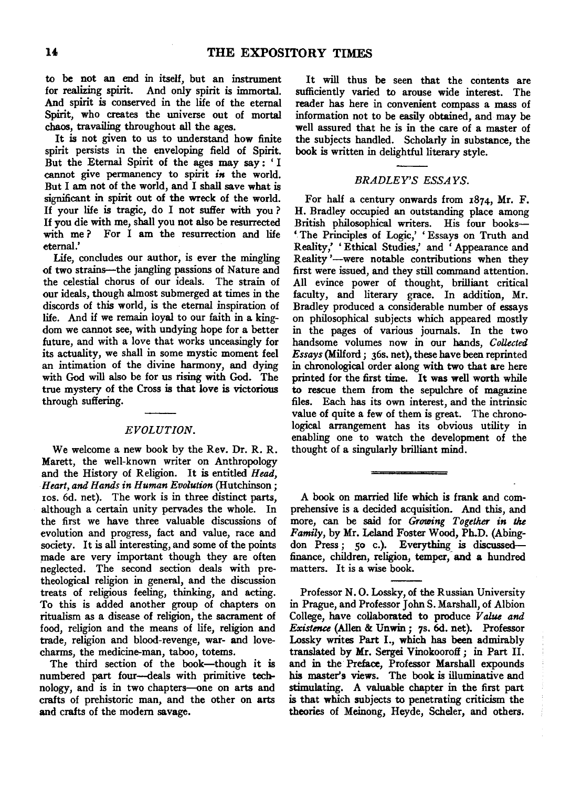to be not an end in itself, but an instrument for realizing spirit. And only spirit is immortal. And spirit is conserved in the life of the eternal Spirit, who creates the universe out of mortal chaos, travailing throughout all the ages.

It is not given to us to understand how finite spirit persists in the enveloping field of Spirit. But the Eternal Spirit of the ages may say : ' I cannot give permanency to spirit *in* the world. But I am not of the world, and I shall save what is significant in spirit out of the wreck of the world. If your life is tragic, do I not suffer with you ? If you die with me, shall you not also be resurrected with me? For I am the resurrection and life eternal.'

Life, concludes our author, is ever the mingling of two strains-the jangling passions of Nature and the celestial chorus of our ideals. The strain of our ideals, though almost submerged at times in the discords of this world, is the eternal inspiration of life. And if we remain loyal to our faith in a kingdom we cannot see, with undying hope for a better future, and with a love that works unceasingly for its actuality, we shall in some mystic moment feel an intimation of the divine harmony, and dying with God will also be for us rising with God. The true mystery of the Cross is that love is victorious through suffering.

#### *EVOLUTION.*

We welcome a new book by the Rev. Dr. R. R. Marett, the well-known writer on Anthropology and the History of Religion. It is entitled *Head, Heart, and Hands in Human Evolution* (Hutchinson; zos. 6d. net). The work is in three distinct parts, although a certain unity pervades the whole. In the first we have three valuable discussions of evolution and progress, fact and value, race and society. It is all interesting, and some of the points made are very important though they are often neglected. The second section deals with pretheological religion in general, and the discussion treats of religious feeling, thinking, and acting. To this is added another group of chapters on ritualism as a disease of religion, the sacrament of food, religion and the means of life, religion and trade, religion and blood-revenge, war- and lovecharms, the medicine-man, taboo, totems.

The third section of the book-though it is numbered part four-deals with primitive technology, and is in two chapters-one on arts and crafts of prehistoric man, and the other on arts and crafts of the modem savage.

It will thus be seen that the contents are sufficiently varied to arouse wide interest. The reader has here in convenient compass a mass of information not to be easily obtained, and may be well assured that he is in the care of a master of the subjects handled. Scholarly in substance, the book is written in delightful literary style.

## *BRADLEY'S ESSAYS.*

For half a century onwards from 1874, Mr. F. H. Bradley occupied an outstanding place among British philosophical writers. His four books- ' The Principles of Logic,' 'Essays on Truth and Reality,' 'Ethical Studies,' and 'Appearance and Reality '-were notable contributions when they first were issued, and they still command attention. All evince power of thought, brilliant critical faculty, and literary grace. In addition, Mr. Bradley produced a considerable number of essays on philosophical subjects which appeared mostly in the pages of various journals. In the two handsome volumes now in our hands, *CoUected Essays* (Milford; 36s. net), these have been reprinted in chronological order along with two that are here printed for the first time. It was well worth while to rescue them from the sepulchre of magazine files. Each has its own interest, and the intrinsic value of quite a few of them is great. The chronological arrangement has its obvious utility in enabling one to watch the development of the thought of a singularly brilliant mind.

A book on married life which is frank and comprehensive is a decided acquisition. And this, and more, can be said for *Growing Together in the Family,* by Mr. Leland Foster Wood, Ph.D. (Abingdon Press; 50 c.). Everything is discussedfinance, children, religion, temper, and a hundred matters. It is a wise book.

Professor N. 0. Lossky, of the Russian University in Prague, and Professor John S. Marshall, of Albion College, have collaborated to produce *Value and Existence* (Alien & Unwin; 7s. 6d. net). Professor Lossky writes Part I., which has been admirably translated by Mr. Sergei Vinokooroff; in Part 11. and in the Preface, Professor Marshall expounds his master's views. The book is illuminative and stimulating. A valuable chapter in the first part is that which subjects to penetrating criticism the theories of Meinong, Heyde, Scheler, and others.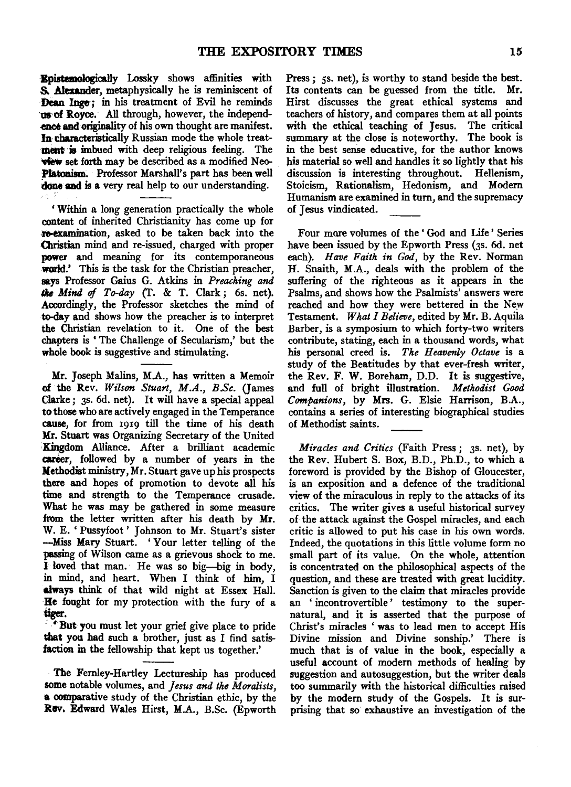·Bpistemologically Lossky shows affinities with S.. Alexander, metaphysically he is reminiscent of Dean Inge: in his treatment of Evil he reminds us of Royce. All through, however, the independence and originality of his own thought are manifest. In tbaracteristically Russian mode the whole treat ment is imbued with deep religious feeling. The **view** set forth may be described as a modified Neo-Ptatonism. Professor Marshall's part has been well done and is a very real help to our understanding.

'Within a long generation practically the whole content of inherited Christianity has come up for re-examination, asked to be taken back into the Christian mind and re-issued, charged with proper power and meaning for its contemporaneous world.' This is the task for the Christian preacher, says Professor Gaius G. Atkins in *Preaching and 1118 Mind* of *To-day* (T. & T. Clark; 6s. net). Accordingly, the Professor sketches the mind of to-day and shows how the preacher is to interpret the Christian revelation to it. One of the best chapters is ' The Challenge of Secularism,' but the whole book is suggestive and stimulating.

Mr. Joseph Malins, M.A., has written a Memoir of the Rev. *Wilson Stuart, M.A., B.Sc.* (James Clarke; 3s. 6d. net). It will have a special appeal to those who are actively engaged in the Temperance cause, for from 1919 till the time of his death M:r. Stuart was Organizing Secretary of the United Kingdom Alliance. After a brilliant academic career, followed by a number of years in the Methodist ministry, Mr. Stuart gave up his prospects there and hopes of promotion to devote all his time and strength to the Temperance crusade. What he was may be gathered in some measure from the letter written after his death by Mr. W. E. 'Pussyfoot' Johnson to Mr. Stuart's sister -Miss Mary Stuart. ' Your letter telling of the passing of Wilson came as a grievous shock to me. I loved that man. He was so big-big in body, in mind, and heart. When I think of him, I always think of that wild night at Essex Hall. He fought for my protection with the fury of a tiger.

' • But you must let your grief give place to pride that you had such a brother, just as I find satisfaction in the fellowship that kept us together.'

The Fernley-Hartley Lectureship has produced some notable volumes, and *Jesus and the Moralists,*  a comparative study of the Christian ethic, by the Rev. Edward Wales Hirst, M.A., B.Sc. (Epworth

Press ;  $\varsigma$ s. net), is worthy to stand beside the best. Its contents can be guessed from the title. Mr. Hirst discusses the great ethical systems and teachers of history, and compares them at all points with the ethical teaching of Jesus. The critical summary at the close is noteworthy. The book is in the best sense educative, for the author knows his material so well and handles it so lightly that his discussion is interesting throughout. Hellenism, Stoicism, Rationalism, Hedonism, and Modern Humanism are examined in turn, and the supremacy of Jesus vindicated.

Four mare volumes of the ' God and Life' Series have been issued by the Epworth Press (3s. 6d. net each). *Have Faith in God,* by the Rev. Norman H. Snaith, M.A., deals with the problem of the suffering of the righteous as it appears in the Psalms, and shows how the Psalmists' answers were reached and how they were bettered in the New Testament. *What I Believe,* edited by Mr. B. Aquila Barber, is a symposium to which forty-two writers contribute, stating, each in a thousand words, what his personal creed is. *The Heavenly Octave* is a study of the Beatitudes by that ever-fresh writer, the Rev. F. W. Boreham, D.D. It is suggestive, and full of bright illustration. *Methodist Good Companions,* by Mrs. G. Elsie Harrison, B.A., contains a series of interesting biographical studies of Methodist saints.

*Miracles and Critics* (Faith Press *;* 3s. net), by the Rev. Hubert S. Box, B.D., Ph.D., to which a foreword is provided by the Bishop of Gloucester, is an exposition and a defence of the traditional view of the miraculous in reply to the attacks of its critics. The writer gives a useful historical survey of the attack against the Gospel miracles, and each critic is allowed to put his case in his own words. Indeed, the quotations in this little volume form no small part of its value. On the whole, attention is concentrated on the philosophical aspects of the question, and these are treated with great lucidity. Sanction is given to the claim that miracles provide an 'incontrovertible' testimony to the supernatural, and it is asserted that the purpose of Christ's miracles 'was to lead men to accept His Divine mission and Divine sonship.' There is much that is of value in the book, especially a useful account of modern methods of healing by suggestion and autosuggestion, but the writer deals too summarily with the historical difficulties raised by the modern study of the Gospels. It is surprising that so exhaustive an investigation of the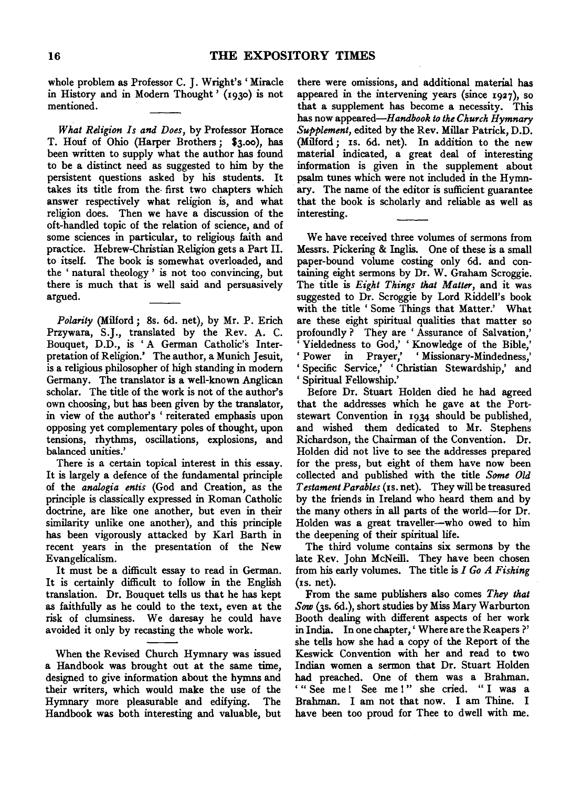whole problem as Professor C. J. Wright's 'Miracle in History and in Modern Thought' (1930) is not mentioned.

*What Religion Is and Does,* by Professor Horace T. Houf of Ohio (Harper Brothers; \$3.oo), has been written to supply what the author has found to be a distinct need as suggested to him by the persistent questions asked by his students. It takes its title from the- first two chapters which answer respectively what religion is, and what religion does. Then we have a discussion of the oft-handled topic of the relation of science, and of some sciences in particular, to religious faith and practice. Hebrew-Christian Religion gets a Part II. to itself. The book is somewhat overloaded, and the ' natural theology ' is not too convincing, but there is much that is well said and persuasively argued.

*Polarity* (Milford; 8s. 6d. net), by Mr. P. Erich Przywara, S.J., translated by the Rev. A. C. Bouquet, D.D., is 'A German Catholic's Interpretation of Religion.' The author, a Munich Jesuit, is a religious philosopher of high standing in modem Germany. The translator is a well-known Anglican scholar. The title of the work is not of the author's own choosing, but has been given by the translator, in view of the author's 'reiterated emphasis upon opposing yet complementary poles of thought, upon tensions, rhythms, oscillations, explosions, and balanced unities.'

There is a certain topical interest in this essay. It is largely a defence of the fundamental principle of the *analogia entis* (God and Creation, as the principle is classically expressed in Roman Catholic doctrine, are like one another, but even in their similarity unlike one another), and this principle has been vigorously attacked by Karl Barth in recent years in the presentation of the New Evangelicalism.

It must be a difficult essay to read in German. It must be a difficult essay to read in German.<br>It is certainly difficult to follow in the English It is certainly difficult to follow in the English translation. Dr. Bouquet tells us that he has kept as faithfully as he could to the text, even at the risk of clumsiness. We daresay he could have avoided it only by recasting the whole work.

When the Revised Church Hymnary was issued a Handbook was brought out at the same time, designed to give information about the hymns and their writers, which would make the use of the Hymnary more pleasurable and edifying. The Handbook was both interesting and valuable, but there were omissions, and additional material has appeared in the intervening years (since  $1927$ ), so that a supplement has become a necessity. This has now *appeared-Handbook to the Church Hymnary Supplement,* edited by the Rev. Millar Patrick, D.D. (Milford; IS. 6d. net). In addition to the new material indicated, a great deal of interesting information is given in the supplement about psalm tunes which were not included in the Hymnary. The name of the editor is sufficient guarantee that the book is scholarly and reliable as well as interesting.

We have received three volumes of sermons from Messrs. Pickering & Inglis. One of these is a small paper-bound volume costing only 6d. and contaper bound volume cooling only out and con-The title is *Eight Things that Matter,* and it was suggested to Dr. Scroggie by Lord Riddell's book with the title ' Some Things that Matter.' What are these eight spiritual qualities that matter so profoundly ? They are ' Assurance of Salvation,' ' Yieldedness to God,' ' Knowledge of the Bible,' 'Power in Prayer,' 'Missionary-Mindedness,' 'Specific Service,' 'Christian Stewardship,' and 'Spiritual Fellowship.'

Before Dr. Stuart Holden died he had agreed that the addresses which he gave at the Portstewart Convention in I934 should be published, and wished them dedicated to Mr. Stephens Richardson, the Chairman of the Convention. Dr. Holden did not live to see the addresses prepared for the press, but eight of them have now been collected and published with the title *Some Old Testament Parables* (Is. net). They will be treasured by the friends in Ireland who heard them and by the many others in all parts of the world-for Dr. Holden was a great traveller-who owed to him the deepening of their spiritual life.

The third volume contains six sermons by the late Rev. John McNeill. They have been chosen from his early volumes. The title is *I Go A Fishing*  (Is. net).

From the same publishers also comes *They that*  Sow (3s. 6d.), short studies by Miss Mary Warburton Booth dealing with different aspects of her work in India. In one chapter,' Where are the Reapers?' she tells how she had a copy of the Report of the Keswick Convention with her and read to two Indian women a sermon that Dr. Stuart Holden had preached. One of them was a Brahman. '" See me ! See me !" she cried. "I was a Brahman. I am not that now. I am Thine. I have been too proud for Thee to dwell with me.